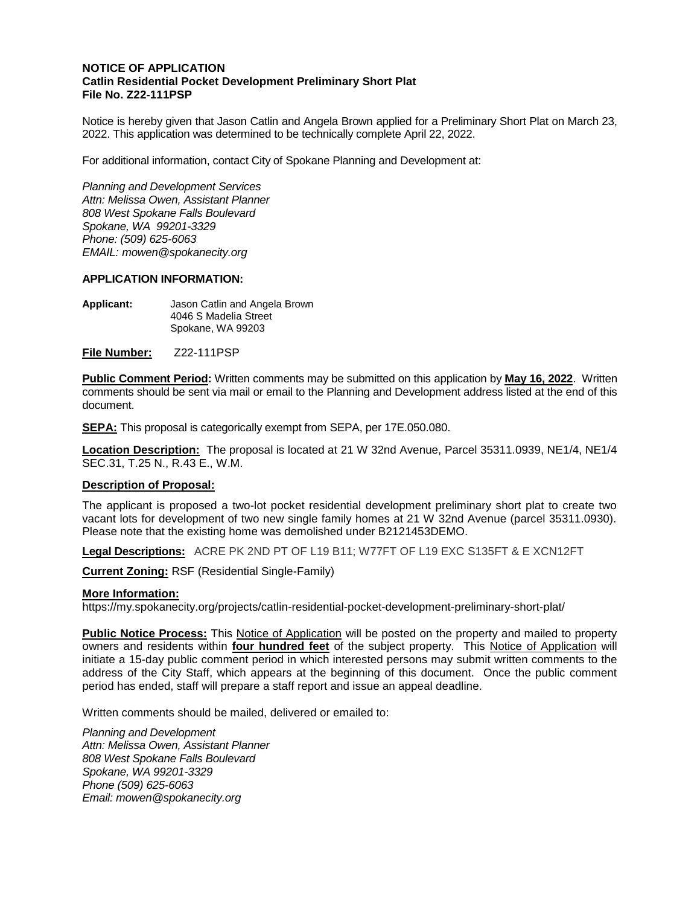## **NOTICE OF APPLICATION Catlin Residential Pocket Development Preliminary Short Plat File No. Z22-111PSP**

Notice is hereby given that Jason Catlin and Angela Brown applied for a Preliminary Short Plat on March 23, 2022. This application was determined to be technically complete April 22, 2022.

For additional information, contact City of Spokane Planning and Development at:

*Planning and Development Services Attn: Melissa Owen, Assistant Planner 808 West Spokane Falls Boulevard Spokane, WA 99201-3329 Phone: (509) 625-6063 EMAIL: mowen@spokanecity.org*

## **APPLICATION INFORMATION:**

**Applicant:** Jason Catlin and Angela Brown 4046 S Madelia Street Spokane, WA 99203

**File Number:** Z22-111PSP

**Public Comment Period:** Written comments may be submitted on this application by **May 16, 2022**. Written comments should be sent via mail or email to the Planning and Development address listed at the end of this document.

**SEPA:** This proposal is categorically exempt from SEPA, per 17E.050.080.

**Location Description:** The proposal is located at 21 W 32nd Avenue, Parcel 35311.0939, NE1/4, NE1/4 SEC.31, T.25 N., R.43 E., W.M.

## **Description of Proposal:**

The applicant is proposed a two-lot pocket residential development preliminary short plat to create two vacant lots for development of two new single family homes at 21 W 32nd Avenue (parcel 35311.0930). Please note that the existing home was demolished under B2121453DEMO.

**Legal Descriptions:** ACRE PK 2ND PT OF L19 B11; W77FT OF L19 EXC S135FT & E XCN12FT

**Current Zoning:** RSF (Residential Single-Family)

## **More Information:**

https://my.spokanecity.org/projects/catlin-residential-pocket-development-preliminary-short-plat/

**Public Notice Process:** This Notice of Application will be posted on the property and mailed to property owners and residents within **four hundred feet** of the subject property. This Notice of Application will initiate a 15-day public comment period in which interested persons may submit written comments to the address of the City Staff, which appears at the beginning of this document. Once the public comment period has ended, staff will prepare a staff report and issue an appeal deadline.

Written comments should be mailed, delivered or emailed to:

*Planning and Development Attn: Melissa Owen, Assistant Planner 808 West Spokane Falls Boulevard Spokane, WA 99201-3329 Phone (509) 625-6063 Email: mowen@spokanecity.org*